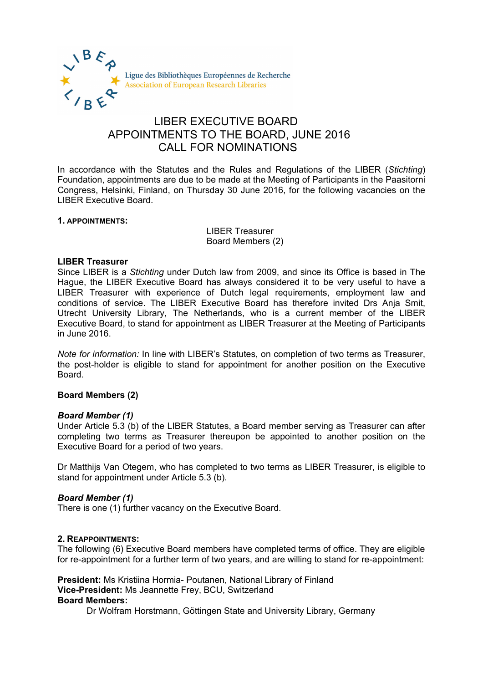

# LIBER EXECUTIVE BOARD APPOINTMENTS TO THE BOARD, JUNE 2016 CALL FOR NOMINATIONS

In accordance with the Statutes and the Rules and Regulations of the LIBER (*Stichting*) Foundation, appointments are due to be made at the Meeting of Participants in the Paasitorni Congress, Helsinki, Finland, on Thursday 30 June 2016, for the following vacancies on the LIBER Executive Board.

#### **1. APPOINTMENTS:**

LIBER Treasurer Board Members (2)

#### **LIBER Treasurer**

Since LIBER is a *Stichting* under Dutch law from 2009, and since its Office is based in The Hague, the LIBER Executive Board has always considered it to be very useful to have a LIBER Treasurer with experience of Dutch legal requirements, employment law and conditions of service. The LIBER Executive Board has therefore invited Drs Anja Smit, Utrecht University Library, The Netherlands, who is a current member of the LIBER Executive Board, to stand for appointment as LIBER Treasurer at the Meeting of Participants in June 2016.

*Note for information:* In line with LIBER's Statutes, on completion of two terms as Treasurer, the post-holder is eligible to stand for appointment for another position on the Executive Board.

## **Board Members (2)**

## *Board Member (1)*

Under Article 5.3 (b) of the LIBER Statutes, a Board member serving as Treasurer can after completing two terms as Treasurer thereupon be appointed to another position on the Executive Board for a period of two years.

Dr Matthijs Van Otegem, who has completed to two terms as LIBER Treasurer, is eligible to stand for appointment under Article 5.3 (b).

## *Board Member (1)*

There is one (1) further vacancy on the Executive Board.

#### **2. REAPPOINTMENTS:**

The following (6) Executive Board members have completed terms of office. They are eligible for re-appointment for a further term of two years, and are willing to stand for re-appointment:

**President:** Ms Kristiina Hormia- Poutanen, National Library of Finland **Vice-President:** Ms Jeannette Frey, BCU, Switzerland **Board Members:**

Dr Wolfram Horstmann, Göttingen State and University Library, Germany